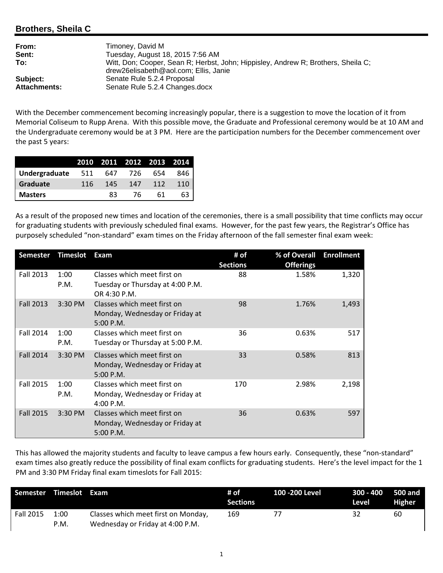## **Brothers, Sheila C**

| From:               | Timoney, David M                                                                                                           |
|---------------------|----------------------------------------------------------------------------------------------------------------------------|
| Sent:               | Tuesday, August 18, 2015 7:56 AM                                                                                           |
| To:                 | Witt, Don; Cooper, Sean R; Herbst, John; Hippisley, Andrew R; Brothers, Sheila C;<br>drew26elisabeth@aol.com: Ellis. Janie |
| Subject:            | Senate Rule 5.2.4 Proposal                                                                                                 |
| <b>Attachments:</b> | Senate Rule 5.2.4 Changes.docx                                                                                             |
|                     |                                                                                                                            |

With the December commencement becoming increasingly popular, there is a suggestion to move the location of it from Memorial Coliseum to Rupp Arena. With this possible move, the Graduate and Professional ceremony would be at 10 AM and the Undergraduate ceremony would be at 3 PM. Here are the participation numbers for the December commencement over the past 5 years:

|                   |     |     |       | 2010 2011 2012 2013 2014 |     |
|-------------------|-----|-----|-------|--------------------------|-----|
| Undergraduate 511 |     | 647 | - 726 | 654                      | 846 |
| Graduate          | 116 | 145 | 147   | 112                      | 110 |
| <b>Masters</b>    |     | 83  | 76.   | 61                       | 63  |

As a result of the proposed new times and location of the ceremonies, there is a small possibility that time conflicts may occur for graduating students with previously scheduled final exams. However, for the past few years, the Registrar's Office has purposely scheduled "non‐standard" exam times on the Friday afternoon of the fall semester final exam week:

| <b>Semester</b>  | <b>Timeslot</b> | <b>Exam</b>                                                                     | # of<br><b>Sections</b> | % of Overall<br><b>Offerings</b> | <b>Enrollment</b> |
|------------------|-----------------|---------------------------------------------------------------------------------|-------------------------|----------------------------------|-------------------|
| <b>Fall 2013</b> | 1:00<br>P.M.    | Classes which meet first on<br>Tuesday or Thursday at 4:00 P.M.<br>OR 4:30 P.M. | 88                      | 1.58%                            | 1,320             |
| <b>Fall 2013</b> | 3:30 PM         | Classes which meet first on<br>Monday, Wednesday or Friday at<br>5:00 P.M.      | 98                      | 1.76%                            | 1,493             |
| <b>Fall 2014</b> | 1:00<br>P.M.    | Classes which meet first on<br>Tuesday or Thursday at 5:00 P.M.                 | 36                      | 0.63%                            | 517               |
| <b>Fall 2014</b> | $3:30$ PM       | Classes which meet first on<br>Monday, Wednesday or Friday at<br>$5:00$ P.M.    | 33                      | 0.58%                            | 813               |
| <b>Fall 2015</b> | 1:00<br>P.M.    | Classes which meet first on<br>Monday, Wednesday or Friday at<br>4:00 P.M.      | 170                     | 2.98%                            | 2,198             |
| <b>Fall 2015</b> | $3:30$ PM       | Classes which meet first on<br>Monday, Wednesday or Friday at<br>$5:00$ P.M.    | 36                      | 0.63%                            | 597               |

This has allowed the majority students and faculty to leave campus a few hours early. Consequently, these "non‐standard" exam times also greatly reduce the possibility of final exam conflicts for graduating students. Here's the level impact for the 1 PM and 3:30 PM Friday final exam timeslots for Fall 2015:

| Semester Timeslot Exam |              |                                                                         | # of<br><b>Sections</b> | 100 -200 Level | 300 - 400 500 and<br>Level | Higher |
|------------------------|--------------|-------------------------------------------------------------------------|-------------------------|----------------|----------------------------|--------|
| Fall 2015              | 1:00<br>P.M. | Classes which meet first on Monday,<br>Wednesday or Friday at 4:00 P.M. | 169                     | 77             | 32                         | 60     |